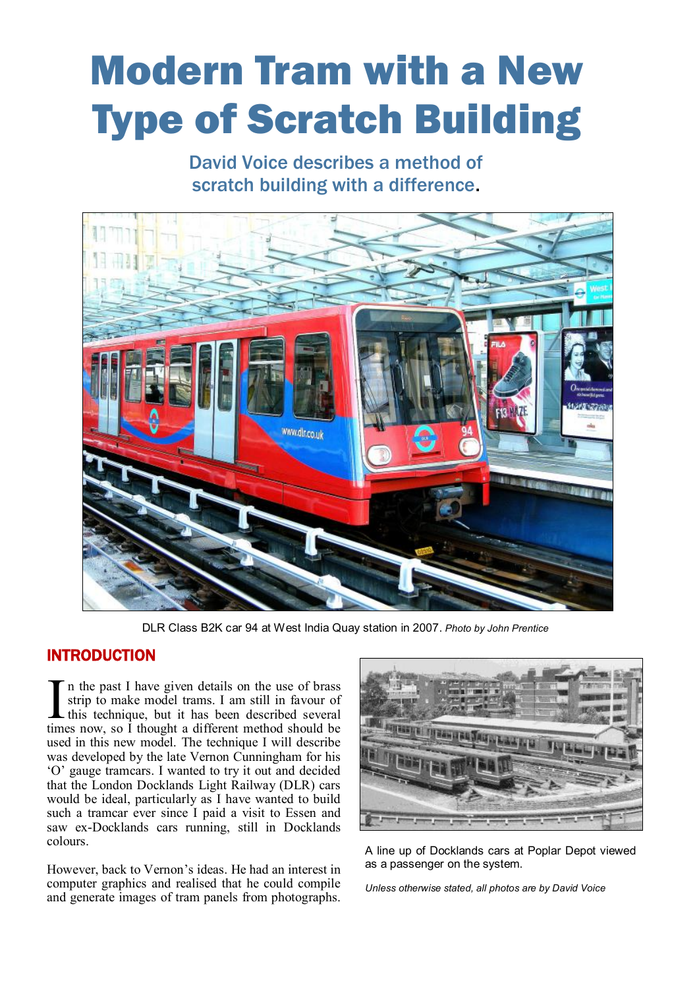## Modern Tram with a New Type of Scratch Building

David Voice describes a method of scratch building with a difference.



DLR Class B2K car 94 at West India Quay station in 2007. *Photo by John Prentice*

## INTRODUCTION

In the past I have given details on the use of brass<br>strip to make model trams. I am still in favour of<br>this technique, but it has been described several<br>times now, so I thought a different method should be n the past I have given details on the use of brass strip to make model trams. I am still in favour of this technique, but it has been described several used in this new model. The technique I will describe was developed by the late Vernon Cunningham for his 'O' gauge tramcars. I wanted to try it out and decided that the London Docklands Light Railway (DLR) cars would be ideal, particularly as I have wanted to build such a tramcar ever since I paid a visit to Essen and saw ex-Docklands cars running, still in Docklands colours.

However, back to Vernon's ideas. He had an interest in computer graphics and realised that he could compile and generate images of tram panels from photographs.



A line up of Docklands cars at Poplar Depot viewed as a passenger on the system.

*Unless otherwise stated, all photos are by David Voice*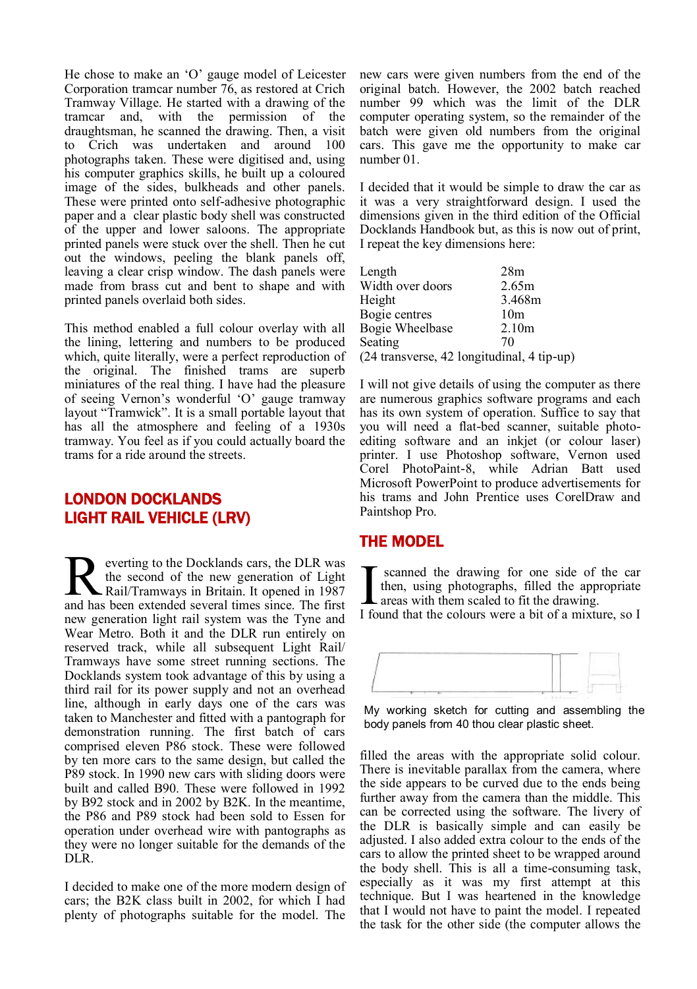He chose to make an 'O' gauge model of Leicester Corporation tramcar number 76, as restored at Crich Tramway Village. He started with a drawing of the tramcar and, with the permission of the draughtsman, he scanned the drawing. Then, a visit to Crich was undertaken and around 100 photographs taken. These were digitised and, using his computer graphics skills, he built up a coloured image of the sides, bulkheads and other panels. These were printed onto self-adhesive photographic paper and a clear plastic body shell was constructed of the upper and lower saloons. The appropriate printed panels were stuck over the shell. Then he cut out the windows, peeling the blank panels off, leaving a clear crisp window. The dash panels were made from brass cut and bent to shape and with printed panels overlaid both sides.

This method enabled a full colour overlay with all the lining, lettering and numbers to be produced which, quite literally, were a perfect reproduction of the original. The finished trams are superb miniatures of the real thing. I have had the pleasure of seeing Vernon's wonderful 'O' gauge tramway layout "Tramwick". It is a small portable layout that has all the atmosphere and feeling of a 1930s tramway. You feel as if you could actually board the trams for a ride around the streets.

## LONDON DOCKLANDS LIGHT RAIL VEHICLE (LRV)

**R** everting to the Docklands cars, the DLR was the second of the new generation of Light Rail/Tramways in Britain. It opened in 1987 and has been extended several times since. The first everting to the Docklands cars, the DLR was the second of the new generation of Light Rail/Tramways in Britain. It opened in 1987 new generation light rail system was the Tyne and Wear Metro. Both it and the DLR run entirely on reserved track, while all subsequent Light Rail/ Tramways have some street running sections. The Docklands system took advantage of this by using a third rail for its power supply and not an overhead line, although in early days one of the cars was taken to Manchester and fitted with a pantograph for demonstration running. The first batch of cars comprised eleven P86 stock. These were followed by ten more cars to the same design, but called the P89 stock. In 1990 new cars with sliding doors were built and called B90. These were followed in 1992 by B92 stock and in 2002 by B2K. In the meantime, the P86 and P89 stock had been sold to Essen for operation under overhead wire with pantographs as they were no longer suitable for the demands of the DLR.

I decided to make one of the more modern design of cars; the B2K class built in 2002, for which I had plenty of photographs suitable for the model. The new cars were given numbers from the end of the original batch. However, the 2002 batch reached number 99 which was the limit of the DLR computer operating system, so the remainder of the batch were given old numbers from the original cars. This gave me the opportunity to make car number 01.

I decided that it would be simple to draw the car as it was a very straightforward design. I used the dimensions given in the third edition of the Official Docklands Handbook but, as this is now out of print, I repeat the key dimensions here:

| Length           | 28m                                        |
|------------------|--------------------------------------------|
| Width over doors | 2.65m                                      |
| Height           | 3.468m                                     |
| Bogie centres    | 10 <sub>m</sub>                            |
| Bogie Wheelbase  | 2.10 <sub>m</sub>                          |
| Seating          | 70                                         |
|                  | (24 transverse, 42 longitudinal, 4 tip-up) |

I will not give details of using the computer as there are numerous graphics software programs and each has its own system of operation. Suffice to say that you will need a flat-bed scanner, suitable photoediting software and an inkiet (or colour laser) printer. I use Photoshop software, Vernon used Corel PhotoPaint-8, while Adrian Batt used Microsoft PowerPoint to produce advertisements for his trams and John Prentice uses CorelDraw and Paintshop Pro.

## THE MODEL

I scanned the drawing for one side of the car<br>then, using photographs, filled the appropriate<br>areas with them scaled to fit the drawing.<br>I found that the colours were a bit of a mixture, so I scanned the drawing for one side of the car then, using photographs, filled the appropriate areas with them scaled to fit the drawing.



My working sketch for cutting and assembling the body panels from 40 thou clear plastic sheet.

filled the areas with the appropriate solid colour. There is inevitable parallax from the camera, where the side appears to be curved due to the ends being further away from the camera than the middle. This can be corrected using the software. The livery of the DLR is basically simple and can easily be adjusted. I also added extra colour to the ends of the cars to allow the printed sheet to be wrapped around the body shell. This is all a time-consuming task, especially as it was my first attempt at this technique. But I was heartened in the knowledge that I would not have to paint the model. I repeated the task for the other side (the computer allows the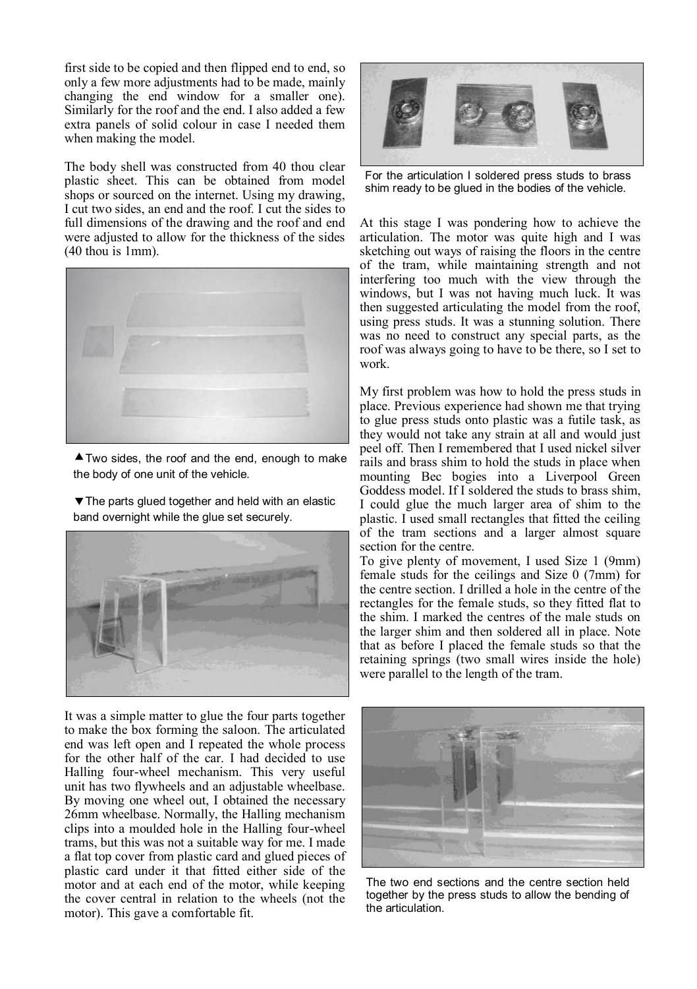first side to be copied and then flipped end to end, so only a few more adjustments had to be made, mainly changing the end window for a smaller one). Similarly for the roof and the end. I also added a few extra panels of solid colour in case I needed them when making the model.

The body shell was constructed from 40 thou clear plastic sheet. This can be obtained from model shops or sourced on the internet. Using my drawing, I cut two sides, an end and the roof. I cut the sides to full dimensions of the drawing and the roof and end were adjusted to allow for the thickness of the sides (40 thou is 1mm).



 $\triangle$  Two sides, the roof and the end, enough to make the body of one unit of the vehicle.

 $\blacktriangledown$  The parts glued together and held with an elastic band overnight while the glue set securely.



It was a simple matter to glue the four parts together to make the box forming the saloon. The articulated end was left open and I repeated the whole process for the other half of the car. I had decided to use Halling four-wheel mechanism. This very useful unit has two flywheels and an adjustable wheelbase. By moving one wheel out, I obtained the necessary 26mm wheelbase. Normally, the Halling mechanism clips into a moulded hole in the Halling four-wheel trams, but this was not a suitable way for me. I made a flat top cover from plastic card and glued pieces of plastic card under it that fitted either side of the motor and at each end of the motor, while keeping the cover central in relation to the wheels (not the motor). This gave a comfortable fit.



For the articulation I soldered press studs to brass shim ready to be glued in the bodies of the vehicle.

At this stage I was pondering how to achieve the articulation. The motor was quite high and I was sketching out ways of raising the floors in the centre of the tram, while maintaining strength and not interfering too much with the view through the windows, but I was not having much luck. It was then suggested articulating the model from the roof, using press studs. It was a stunning solution. There was no need to construct any special parts, as the roof was always going to have to be there, so I set to work.

My first problem was how to hold the press studs in place. Previous experience had shown me that trying to glue press studs onto plastic was a futile task, as they would not take any strain at all and would just peel off. Then I remembered that I used nickel silver rails and brass shim to hold the studs in place when mounting Bec bogies into a Liverpool Green Goddess model. If I soldered the studs to brass shim, I could glue the much larger area of shim to the plastic. I used small rectangles that fitted the ceiling of the tram sections and a larger almost square section for the centre.

To give plenty of movement, I used Size 1 (9mm) female studs for the ceilings and Size 0 (7mm) for the centre section. I drilled a hole in the centre of the rectangles for the female studs, so they fitted flat to the shim. I marked the centres of the male studs on the larger shim and then soldered all in place. Note that as before I placed the female studs so that the retaining springs (two small wires inside the hole) were parallel to the length of the tram.



The two end sections and the centre section held together by the press studs to allow the bending of the articulation.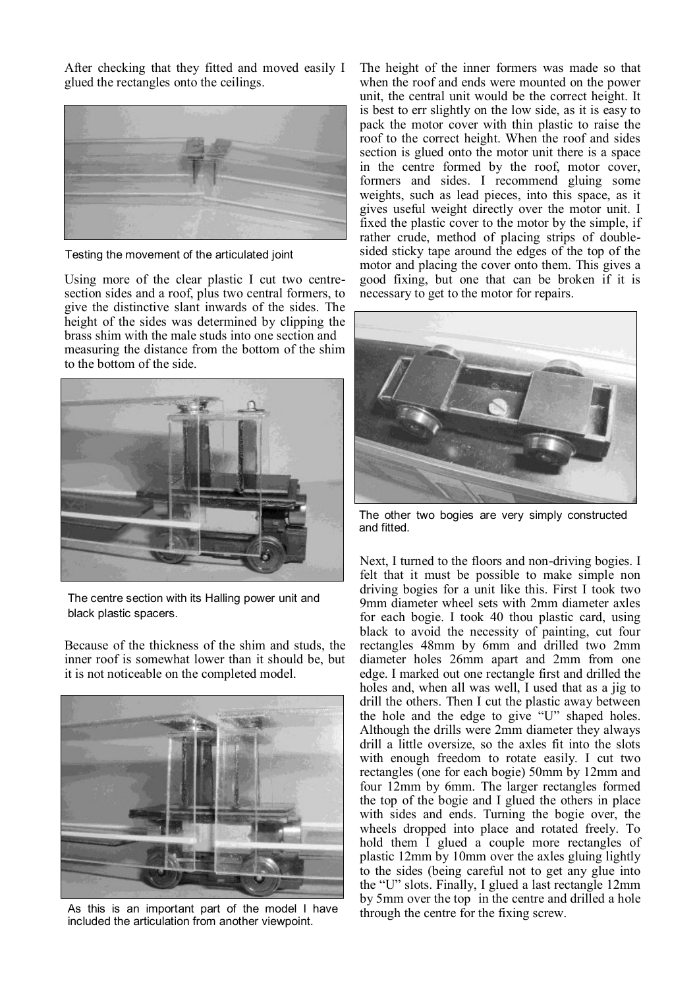After checking that they fitted and moved easily I glued the rectangles onto the ceilings.



Testing the movement of the articulated joint

Using more of the clear plastic I cut two centresection sides and a roof, plus two central formers, to give the distinctive slant inwards of the sides. The height of the sides was determined by clipping the brass shim with the male studs into one section and measuring the distance from the bottom of the shim to the bottom of the side.



The centre section with its Halling power unit and black plastic spacers.

Because of the thickness of the shim and studs, the inner roof is somewhat lower than it should be, but it is not noticeable on the completed model.



As this is an important part of the model I have included the articulation from another viewpoint.

The height of the inner formers was made so that when the roof and ends were mounted on the power unit, the central unit would be the correct height. It is best to err slightly on the low side, as it is easy to pack the motor cover with thin plastic to raise the roof to the correct height. When the roof and sides section is glued onto the motor unit there is a space in the centre formed by the roof, motor cover, formers and sides. I recommend gluing some weights, such as lead pieces, into this space, as it gives useful weight directly over the motor unit. I fixed the plastic cover to the motor by the simple, if rather crude, method of placing strips of doublesided sticky tape around the edges of the top of the motor and placing the cover onto them. This gives a good fixing, but one that can be broken if it is necessary to get to the motor for repairs.



The other two bogies are very simply constructed and fitted.

Next, I turned to the floors and non-driving bogies. I felt that it must be possible to make simple non driving bogies for a unit like this. First I took two 9mm diameter wheel sets with 2mm diameter axles for each bogie. I took 40 thou plastic card, using black to avoid the necessity of painting, cut four rectangles 48mm by 6mm and drilled two 2mm diameter holes 26mm apart and 2mm from one edge. I marked out one rectangle first and drilled the holes and, when all was well. I used that as a jig to drill the others. Then I cut the plastic away between the hole and the edge to give "U" shaped holes. Although the drills were 2mm diameter they always drill a little oversize, so the axles fit into the slots with enough freedom to rotate easily. I cut two rectangles (one for each bogie) 50mm by 12mm and four 12mm by 6mm. The larger rectangles formed the top of the bogie and I glued the others in place with sides and ends. Turning the bogie over, the wheels dropped into place and rotated freely. To hold them I glued a couple more rectangles of plastic 12mm by 10mm over the axles gluing lightly to the sides (being careful not to get any glue into the "U" slots. Finally, I glued a last rectangle 12mm by 5mm over the top in the centre and drilled a hole through the centre for the fixing screw.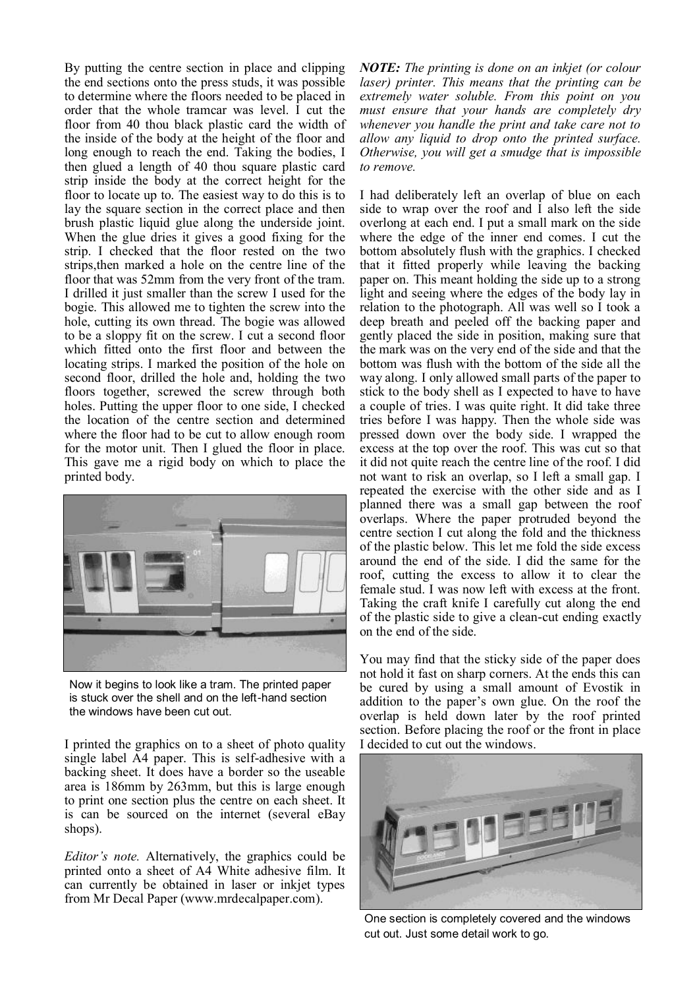By putting the centre section in place and clipping the end sections onto the press studs, it was possible to determine where the floors needed to be placed in order that the whole tramcar was level. I cut the floor from 40 thou black plastic card the width of the inside of the body at the height of the floor and long enough to reach the end. Taking the bodies, I then glued a length of 40 thou square plastic card strip inside the body at the correct height for the floor to locate up to. The easiest way to do this is to lay the square section in the correct place and then brush plastic liquid glue along the underside joint. When the glue dries it gives a good fixing for the strip. I checked that the floor rested on the two strips,then marked a hole on the centre line of the floor that was 52mm from the very front of the tram. I drilled it just smaller than the screw I used for the bogie. This allowed me to tighten the screw into the hole, cutting its own thread. The bogie was allowed to be a sloppy fit on the screw. I cut a second floor which fitted onto the first floor and between the locating strips. I marked the position of the hole on second floor, drilled the hole and, holding the two floors together, screwed the screw through both holes. Putting the upper floor to one side, I checked the location of the centre section and determined where the floor had to be cut to allow enough room for the motor unit. Then I glued the floor in place. This gave me a rigid body on which to place the printed body.



Now it begins to look like a tram. The printed paper is stuck over the shell and on the left-hand section the windows have been cut out.

I printed the graphics on to a sheet of photo quality single label A4 paper. This is self-adhesive with a backing sheet. It does have a border so the useable area is 186mm by 263mm, but this is large enough to print one section plus the centre on each sheet. It is can be sourced on the internet (several eBay shops).

*Editor's note.* Alternatively, the graphics could be printed onto a sheet of A4 White adhesive film. It can currently be obtained in laser or inkjet types from Mr Decal Paper (www.mrdecalpaper.com).

*NOTE: The printing is done on an inkjet (or colour laser) printer. This means that the printing can be extremely water soluble. From this point on you must ensure that your hands are completely dry whenever you handle the print and take care not to allow any liquid to drop onto the printed surface. Otherwise, you will get a smudge that is impossible to remove.*

I had deliberately left an overlap of blue on each side to wrap over the roof and  $\dot{I}$  also left the side overlong at each end. I put a small mark on the side where the edge of the inner end comes. I cut the bottom absolutely flush with the graphics. I checked that it fitted properly while leaving the backing paper on. This meant holding the side up to a strong light and seeing where the edges of the body lay in relation to the photograph. All was well so I took a deep breath and peeled off the backing paper and gently placed the side in position, making sure that the mark was on the very end of the side and that the bottom was flush with the bottom of the side all the way along. I only allowed small parts of the paper to stick to the body shell as I expected to have to have a couple of tries. I was quite right. It did take three tries before I was happy. Then the whole side was pressed down over the body side. I wrapped the excess at the top over the roof. This was cut so that it did not quite reach the centre line of the roof. I did not want to risk an overlap, so I left a small gap. I repeated the exercise with the other side and as I planned there was a small gap between the roof overlaps. Where the paper protruded beyond the centre section I cut along the fold and the thickness of the plastic below. This let me fold the side excess around the end of the side. I did the same for the roof, cutting the excess to allow it to clear the female stud. I was now left with excess at the front. Taking the craft knife I carefully cut along the end of the plastic side to give a clean-cut ending exactly on the end of the side.

You may find that the sticky side of the paper does not hold it fast on sharp corners. At the ends this can be cured by using a small amount of Evostik in addition to the paper's own glue. On the roof the overlap is held down later by the roof printed section. Before placing the roof or the front in place I decided to cut out the windows.



One section is completely covered and the windows cut out. Just some detail work to go.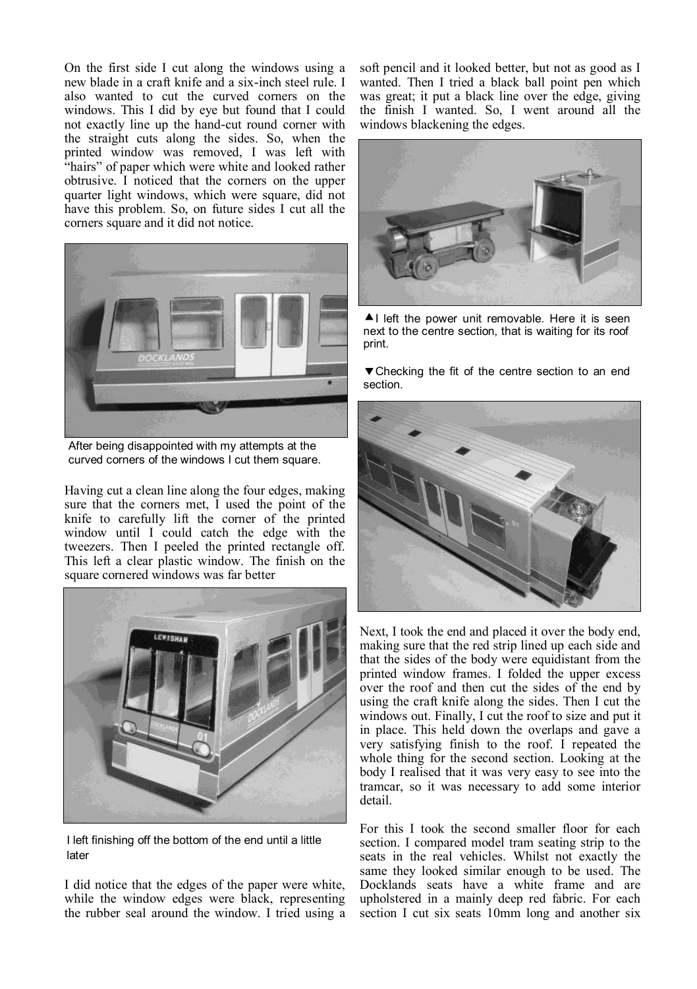On the first side I cut along the windows using a new blade in a craft knife and a six-inch steel rule. I also wanted to cut the curved corners on the windows. This I did by eye but found that I could not exactly line up the hand-cut round corner with the straight cuts along the sides. So, when the printed window was removed, I was left with "hairs" of paper which were white and looked rather obtrusive. I noticed that the corners on the upper quarter light windows, which were square, did not have this problem. So, on future sides I cut all the corners square and it did not notice.



After being disappointed with my attempts at the curved corners of the windows I cut them square.

Having cut a clean line along the four edges, making sure that the corners met, I used the point of the knife to carefully lift the corner of the printed window until I could catch the edge with the tweezers. Then I peeled the printed rectangle off. This left a clear plastic window. The finish on the square cornered windows was far better



I left finishing off the bottom of the end until a little later

I did notice that the edges of the paper were white, while the window edges were black, representing the rubber seal around the window. I tried using a soft pencil and it looked better, but not as good as I wanted. Then I tried a black ball point pen which was great; it put a black line over the edge, giving the finish I wanted. So, I went around all the windows blackening the edges.



 $\triangle$ I left the power unit removable. Here it is seen next to the centre section, that is waiting for its roof print.

▼ Checking the fit of the centre section to an end section.



Next, I took the end and placed it over the body end, making sure that the red strip lined up each side and that the sides of the body were equidistant from the printed window frames. I folded the upper excess over the roof and then cut the sides of the end by using the craft knife along the sides. Then I cut the windows out. Finally, I cut the roof to size and put it in place. This held down the overlaps and gave a very satisfying finish to the roof. I repeated the whole thing for the second section. Looking at the body I realised that it was very easy to see into the tramcar, so it was necessary to add some interior detail.

For this I took the second smaller floor for each section. I compared model tram seating strip to the seats in the real vehicles. Whilst not exactly the same they looked similar enough to be used. The Docklands seats have a white frame and are upholstered in a mainly deep red fabric. For each section I cut six seats 10mm long and another six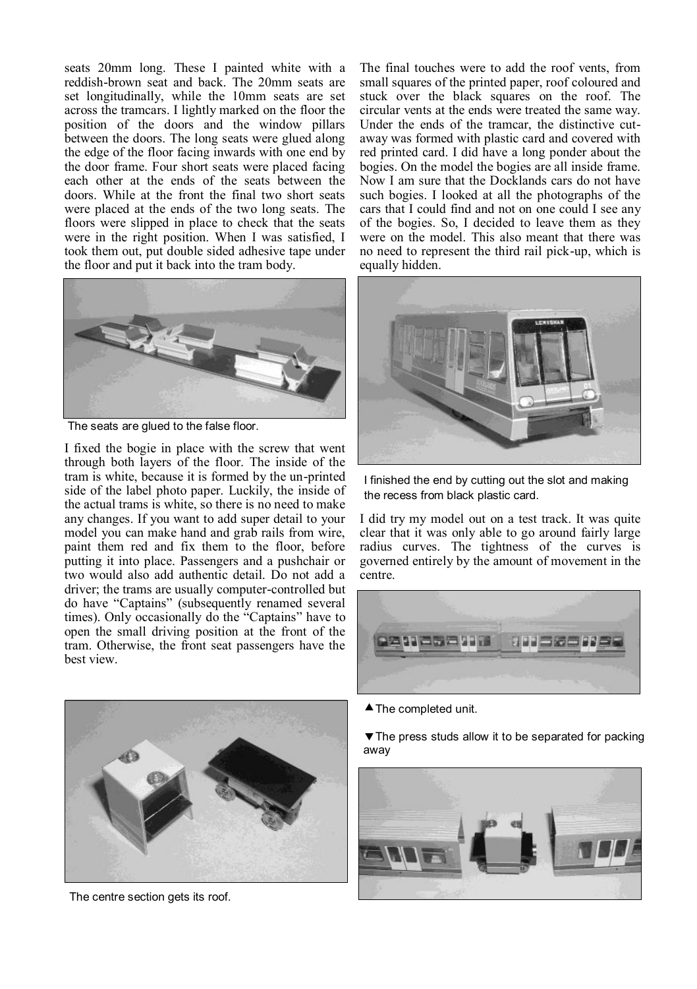seats 20mm long. These I painted white with a reddish-brown seat and back. The 20mm seats are set longitudinally, while the 10mm seats are set across the tramcars. I lightly marked on the floor the position of the doors and the window pillars between the doors. The long seats were glued along the edge of the floor facing inwards with one end by the door frame. Four short seats were placed facing each other at the ends of the seats between the doors. While at the front the final two short seats were placed at the ends of the two long seats. The floors were slipped in place to check that the seats were in the right position. When I was satisfied, I took them out, put double sided adhesive tape under the floor and put it back into the tram body.



The seats are glued to the false floor.

I fixed the bogie in place with the screw that went through both layers of the floor. The inside of the tram is white, because it is formed by the un-printed side of the label photo paper. Luckily, the inside of the actual trams is white, so there is no need to make any changes. If you want to add super detail to your model you can make hand and grab rails from wire, paint them red and fix them to the floor, before putting it into place. Passengers and a pushchair or two would also add authentic detail. Do not add a driver; the trams are usually computer-controlled but do have "Captains" (subsequently renamed several times). Only occasionally do the "Captains" have to open the small driving position at the front of the tram. Otherwise, the front seat passengers have the best view.

The final touches were to add the roof vents, from small squares of the printed paper, roof coloured and stuck over the black squares on the roof. The circular vents at the ends were treated the same way. Under the ends of the tramcar, the distinctive cutaway was formed with plastic card and covered with red printed card. I did have a long ponder about the bogies. On the model the bogies are all inside frame. Now I am sure that the Docklands cars do not have such bogies. I looked at all the photographs of the cars that I could find and not on one could I see any of the bogies. So, I decided to leave them as they were on the model. This also meant that there was no need to represent the third rail pick-up, which is equally hidden.



I finished the end by cutting out the slot and making the recess from black plastic card.

I did try my model out on a test track. It was quite clear that it was only able to go around fairly large radius curves. The tightness of the curves is governed entirely by the amount of movement in the centre.





**The press studs allow it to be separated for packing** away





The centre section gets its roof.